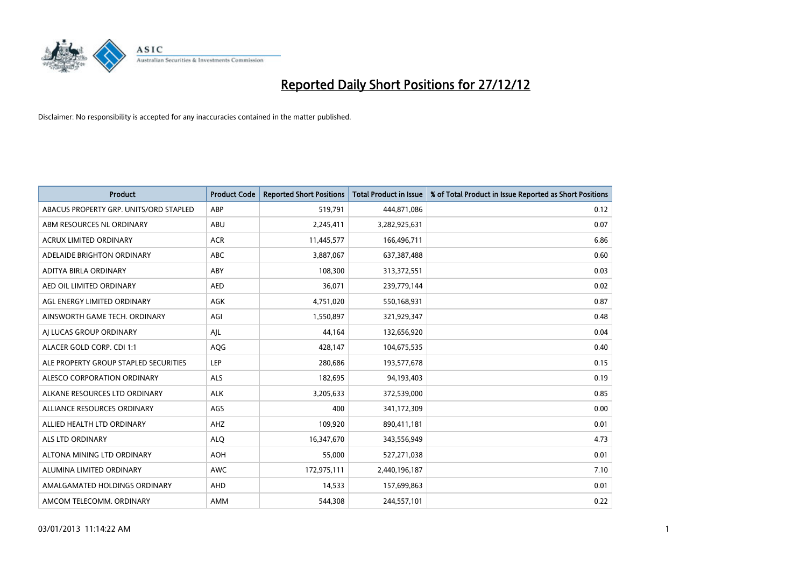

| <b>Product</b>                         | <b>Product Code</b> | <b>Reported Short Positions</b> | <b>Total Product in Issue</b> | % of Total Product in Issue Reported as Short Positions |
|----------------------------------------|---------------------|---------------------------------|-------------------------------|---------------------------------------------------------|
| ABACUS PROPERTY GRP. UNITS/ORD STAPLED | ABP                 | 519,791                         | 444,871,086                   | 0.12                                                    |
| ABM RESOURCES NL ORDINARY              | ABU                 | 2,245,411                       | 3,282,925,631                 | 0.07                                                    |
| <b>ACRUX LIMITED ORDINARY</b>          | <b>ACR</b>          | 11,445,577                      | 166,496,711                   | 6.86                                                    |
| ADELAIDE BRIGHTON ORDINARY             | <b>ABC</b>          | 3,887,067                       | 637, 387, 488                 | 0.60                                                    |
| ADITYA BIRLA ORDINARY                  | ABY                 | 108,300                         | 313,372,551                   | 0.03                                                    |
| AED OIL LIMITED ORDINARY               | <b>AED</b>          | 36,071                          | 239,779,144                   | 0.02                                                    |
| AGL ENERGY LIMITED ORDINARY            | <b>AGK</b>          | 4,751,020                       | 550,168,931                   | 0.87                                                    |
| AINSWORTH GAME TECH. ORDINARY          | AGI                 | 1,550,897                       | 321,929,347                   | 0.48                                                    |
| AI LUCAS GROUP ORDINARY                | AJL                 | 44,164                          | 132,656,920                   | 0.04                                                    |
| ALACER GOLD CORP. CDI 1:1              | AQG                 | 428,147                         | 104,675,535                   | 0.40                                                    |
| ALE PROPERTY GROUP STAPLED SECURITIES  | LEP                 | 280,686                         | 193,577,678                   | 0.15                                                    |
| ALESCO CORPORATION ORDINARY            | <b>ALS</b>          | 182,695                         | 94,193,403                    | 0.19                                                    |
| ALKANE RESOURCES LTD ORDINARY          | <b>ALK</b>          | 3,205,633                       | 372,539,000                   | 0.85                                                    |
| ALLIANCE RESOURCES ORDINARY            | AGS                 | 400                             | 341,172,309                   | 0.00                                                    |
| ALLIED HEALTH LTD ORDINARY             | <b>AHZ</b>          | 109,920                         | 890,411,181                   | 0.01                                                    |
| ALS LTD ORDINARY                       | <b>ALO</b>          | 16,347,670                      | 343,556,949                   | 4.73                                                    |
| ALTONA MINING LTD ORDINARY             | <b>AOH</b>          | 55,000                          | 527,271,038                   | 0.01                                                    |
| ALUMINA LIMITED ORDINARY               | <b>AWC</b>          | 172,975,111                     | 2,440,196,187                 | 7.10                                                    |
| AMALGAMATED HOLDINGS ORDINARY          | <b>AHD</b>          | 14,533                          | 157,699,863                   | 0.01                                                    |
| AMCOM TELECOMM, ORDINARY               | <b>AMM</b>          | 544.308                         | 244,557,101                   | 0.22                                                    |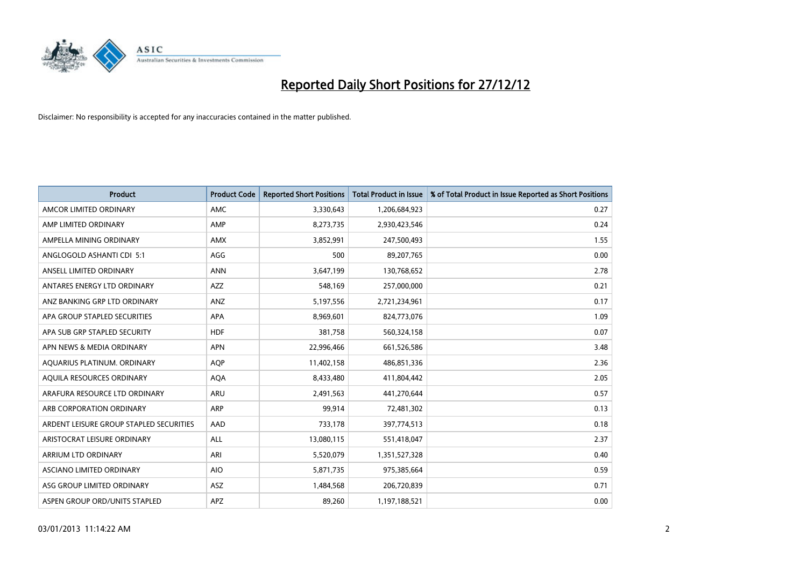

| <b>Product</b>                          | <b>Product Code</b> | <b>Reported Short Positions</b> | <b>Total Product in Issue</b> | % of Total Product in Issue Reported as Short Positions |
|-----------------------------------------|---------------------|---------------------------------|-------------------------------|---------------------------------------------------------|
| AMCOR LIMITED ORDINARY                  | <b>AMC</b>          | 3,330,643                       | 1,206,684,923                 | 0.27                                                    |
| AMP LIMITED ORDINARY                    | AMP                 | 8,273,735                       | 2,930,423,546                 | 0.24                                                    |
| AMPELLA MINING ORDINARY                 | <b>AMX</b>          | 3,852,991                       | 247,500,493                   | 1.55                                                    |
| ANGLOGOLD ASHANTI CDI 5:1               | AGG                 | 500                             | 89,207,765                    | 0.00                                                    |
| ANSELL LIMITED ORDINARY                 | <b>ANN</b>          | 3,647,199                       | 130,768,652                   | 2.78                                                    |
| ANTARES ENERGY LTD ORDINARY             | <b>AZZ</b>          | 548,169                         | 257,000,000                   | 0.21                                                    |
| ANZ BANKING GRP LTD ORDINARY            | ANZ                 | 5,197,556                       | 2,721,234,961                 | 0.17                                                    |
| APA GROUP STAPLED SECURITIES            | <b>APA</b>          | 8,969,601                       | 824,773,076                   | 1.09                                                    |
| APA SUB GRP STAPLED SECURITY            | <b>HDF</b>          | 381,758                         | 560,324,158                   | 0.07                                                    |
| APN NEWS & MEDIA ORDINARY               | <b>APN</b>          | 22,996,466                      | 661,526,586                   | 3.48                                                    |
| AQUARIUS PLATINUM. ORDINARY             | AQP                 | 11,402,158                      | 486,851,336                   | 2.36                                                    |
| AQUILA RESOURCES ORDINARY               | <b>AQA</b>          | 8,433,480                       | 411,804,442                   | 2.05                                                    |
| ARAFURA RESOURCE LTD ORDINARY           | ARU                 | 2,491,563                       | 441,270,644                   | 0.57                                                    |
| ARB CORPORATION ORDINARY                | <b>ARP</b>          | 99,914                          | 72,481,302                    | 0.13                                                    |
| ARDENT LEISURE GROUP STAPLED SECURITIES | AAD                 | 733,178                         | 397,774,513                   | 0.18                                                    |
| ARISTOCRAT LEISURE ORDINARY             | ALL                 | 13,080,115                      | 551,418,047                   | 2.37                                                    |
| ARRIUM LTD ORDINARY                     | ARI                 | 5,520,079                       | 1,351,527,328                 | 0.40                                                    |
| ASCIANO LIMITED ORDINARY                | <b>AIO</b>          | 5,871,735                       | 975,385,664                   | 0.59                                                    |
| ASG GROUP LIMITED ORDINARY              | <b>ASZ</b>          | 1,484,568                       | 206,720,839                   | 0.71                                                    |
| ASPEN GROUP ORD/UNITS STAPLED           | <b>APZ</b>          | 89.260                          | 1,197,188,521                 | 0.00                                                    |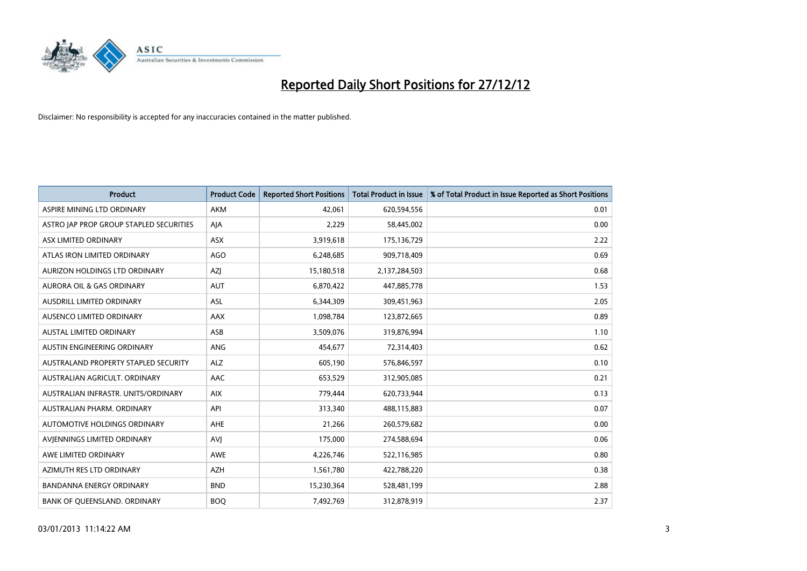

| <b>Product</b>                          | <b>Product Code</b> | <b>Reported Short Positions</b> | Total Product in Issue | % of Total Product in Issue Reported as Short Positions |
|-----------------------------------------|---------------------|---------------------------------|------------------------|---------------------------------------------------------|
| ASPIRE MINING LTD ORDINARY              | <b>AKM</b>          | 42.061                          | 620,594,556            | 0.01                                                    |
| ASTRO JAP PROP GROUP STAPLED SECURITIES | AIA                 | 2,229                           | 58,445,002             | 0.00                                                    |
| ASX LIMITED ORDINARY                    | <b>ASX</b>          | 3,919,618                       | 175,136,729            | 2.22                                                    |
| ATLAS IRON LIMITED ORDINARY             | <b>AGO</b>          | 6,248,685                       | 909,718,409            | 0.69                                                    |
| AURIZON HOLDINGS LTD ORDINARY           | AZJ                 | 15,180,518                      | 2,137,284,503          | 0.68                                                    |
| AURORA OIL & GAS ORDINARY               | <b>AUT</b>          | 6,870,422                       | 447,885,778            | 1.53                                                    |
| AUSDRILL LIMITED ORDINARY               | <b>ASL</b>          | 6,344,309                       | 309,451,963            | 2.05                                                    |
| AUSENCO LIMITED ORDINARY                | <b>AAX</b>          | 1,098,784                       | 123,872,665            | 0.89                                                    |
| <b>AUSTAL LIMITED ORDINARY</b>          | ASB                 | 3,509,076                       | 319,876,994            | 1.10                                                    |
| AUSTIN ENGINEERING ORDINARY             | ANG                 | 454,677                         | 72,314,403             | 0.62                                                    |
| AUSTRALAND PROPERTY STAPLED SECURITY    | <b>ALZ</b>          | 605,190                         | 576,846,597            | 0.10                                                    |
| AUSTRALIAN AGRICULT, ORDINARY           | AAC                 | 653,529                         | 312,905,085            | 0.21                                                    |
| AUSTRALIAN INFRASTR, UNITS/ORDINARY     | <b>AIX</b>          | 779,444                         | 620,733,944            | 0.13                                                    |
| AUSTRALIAN PHARM, ORDINARY              | API                 | 313,340                         | 488,115,883            | 0.07                                                    |
| AUTOMOTIVE HOLDINGS ORDINARY            | AHE                 | 21,266                          | 260,579,682            | 0.00                                                    |
| AVIENNINGS LIMITED ORDINARY             | <b>AVI</b>          | 175,000                         | 274,588,694            | 0.06                                                    |
| AWE LIMITED ORDINARY                    | AWE                 | 4,226,746                       | 522,116,985            | 0.80                                                    |
| AZIMUTH RES LTD ORDINARY                | <b>AZH</b>          | 1,561,780                       | 422,788,220            | 0.38                                                    |
| <b>BANDANNA ENERGY ORDINARY</b>         | <b>BND</b>          | 15,230,364                      | 528,481,199            | 2.88                                                    |
| <b>BANK OF QUEENSLAND. ORDINARY</b>     | <b>BOO</b>          | 7,492,769                       | 312,878,919            | 2.37                                                    |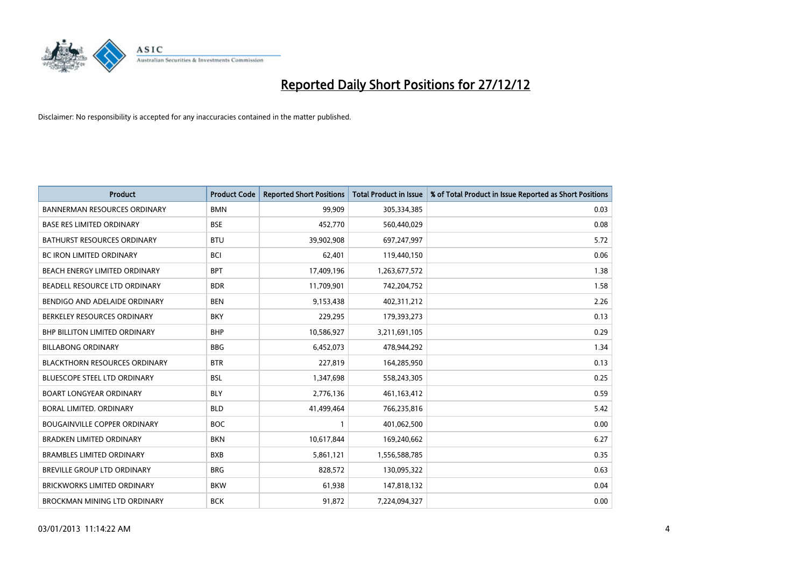

| <b>Product</b>                       | <b>Product Code</b> | <b>Reported Short Positions</b> | <b>Total Product in Issue</b> | % of Total Product in Issue Reported as Short Positions |
|--------------------------------------|---------------------|---------------------------------|-------------------------------|---------------------------------------------------------|
| <b>BANNERMAN RESOURCES ORDINARY</b>  | <b>BMN</b>          | 99,909                          | 305,334,385                   | 0.03                                                    |
| <b>BASE RES LIMITED ORDINARY</b>     | <b>BSE</b>          | 452,770                         | 560,440,029                   | 0.08                                                    |
| <b>BATHURST RESOURCES ORDINARY</b>   | <b>BTU</b>          | 39,902,908                      | 697,247,997                   | 5.72                                                    |
| BC IRON LIMITED ORDINARY             | <b>BCI</b>          | 62,401                          | 119,440,150                   | 0.06                                                    |
| BEACH ENERGY LIMITED ORDINARY        | <b>BPT</b>          | 17,409,196                      | 1,263,677,572                 | 1.38                                                    |
| BEADELL RESOURCE LTD ORDINARY        | <b>BDR</b>          | 11,709,901                      | 742,204,752                   | 1.58                                                    |
| BENDIGO AND ADELAIDE ORDINARY        | <b>BEN</b>          | 9,153,438                       | 402,311,212                   | 2.26                                                    |
| BERKELEY RESOURCES ORDINARY          | <b>BKY</b>          | 229,295                         | 179,393,273                   | 0.13                                                    |
| <b>BHP BILLITON LIMITED ORDINARY</b> | <b>BHP</b>          | 10,586,927                      | 3,211,691,105                 | 0.29                                                    |
| <b>BILLABONG ORDINARY</b>            | <b>BBG</b>          | 6,452,073                       | 478,944,292                   | 1.34                                                    |
| <b>BLACKTHORN RESOURCES ORDINARY</b> | <b>BTR</b>          | 227,819                         | 164,285,950                   | 0.13                                                    |
| <b>BLUESCOPE STEEL LTD ORDINARY</b>  | <b>BSL</b>          | 1,347,698                       | 558,243,305                   | 0.25                                                    |
| <b>BOART LONGYEAR ORDINARY</b>       | <b>BLY</b>          | 2,776,136                       | 461,163,412                   | 0.59                                                    |
| BORAL LIMITED, ORDINARY              | <b>BLD</b>          | 41,499,464                      | 766,235,816                   | 5.42                                                    |
| <b>BOUGAINVILLE COPPER ORDINARY</b>  | <b>BOC</b>          |                                 | 401,062,500                   | 0.00                                                    |
| <b>BRADKEN LIMITED ORDINARY</b>      | <b>BKN</b>          | 10,617,844                      | 169,240,662                   | 6.27                                                    |
| <b>BRAMBLES LIMITED ORDINARY</b>     | <b>BXB</b>          | 5,861,121                       | 1,556,588,785                 | 0.35                                                    |
| <b>BREVILLE GROUP LTD ORDINARY</b>   | <b>BRG</b>          | 828,572                         | 130,095,322                   | 0.63                                                    |
| <b>BRICKWORKS LIMITED ORDINARY</b>   | <b>BKW</b>          | 61,938                          | 147,818,132                   | 0.04                                                    |
| BROCKMAN MINING LTD ORDINARY         | <b>BCK</b>          | 91,872                          | 7,224,094,327                 | 0.00                                                    |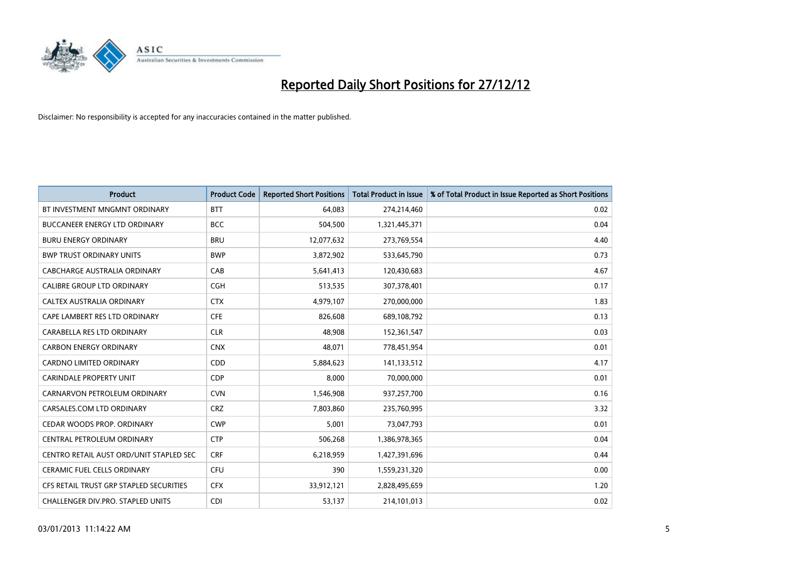

| <b>Product</b>                           | <b>Product Code</b> | <b>Reported Short Positions</b> | <b>Total Product in Issue</b> | % of Total Product in Issue Reported as Short Positions |
|------------------------------------------|---------------------|---------------------------------|-------------------------------|---------------------------------------------------------|
| BT INVESTMENT MNGMNT ORDINARY            | <b>BTT</b>          | 64,083                          | 274,214,460                   | 0.02                                                    |
| BUCCANEER ENERGY LTD ORDINARY            | <b>BCC</b>          | 504,500                         | 1,321,445,371                 | 0.04                                                    |
| <b>BURU ENERGY ORDINARY</b>              | <b>BRU</b>          | 12,077,632                      | 273,769,554                   | 4.40                                                    |
| <b>BWP TRUST ORDINARY UNITS</b>          | <b>BWP</b>          | 3,872,902                       | 533,645,790                   | 0.73                                                    |
| CABCHARGE AUSTRALIA ORDINARY             | CAB                 | 5,641,413                       | 120,430,683                   | 4.67                                                    |
| <b>CALIBRE GROUP LTD ORDINARY</b>        | <b>CGH</b>          | 513,535                         | 307,378,401                   | 0.17                                                    |
| CALTEX AUSTRALIA ORDINARY                | <b>CTX</b>          | 4,979,107                       | 270,000,000                   | 1.83                                                    |
| CAPE LAMBERT RES LTD ORDINARY            | <b>CFE</b>          | 826,608                         | 689,108,792                   | 0.13                                                    |
| CARABELLA RES LTD ORDINARY               | <b>CLR</b>          | 48,908                          | 152,361,547                   | 0.03                                                    |
| <b>CARBON ENERGY ORDINARY</b>            | <b>CNX</b>          | 48,071                          | 778,451,954                   | 0.01                                                    |
| CARDNO LIMITED ORDINARY                  | CDD                 | 5,884,623                       | 141,133,512                   | 4.17                                                    |
| <b>CARINDALE PROPERTY UNIT</b>           | <b>CDP</b>          | 8,000                           | 70,000,000                    | 0.01                                                    |
| CARNARVON PETROLEUM ORDINARY             | <b>CVN</b>          | 1,546,908                       | 937,257,700                   | 0.16                                                    |
| CARSALES.COM LTD ORDINARY                | <b>CRZ</b>          | 7,803,860                       | 235,760,995                   | 3.32                                                    |
| CEDAR WOODS PROP. ORDINARY               | <b>CWP</b>          | 5,001                           | 73,047,793                    | 0.01                                                    |
| CENTRAL PETROLEUM ORDINARY               | <b>CTP</b>          | 506,268                         | 1,386,978,365                 | 0.04                                                    |
| CENTRO RETAIL AUST ORD/UNIT STAPLED SEC  | <b>CRF</b>          | 6,218,959                       | 1,427,391,696                 | 0.44                                                    |
| <b>CERAMIC FUEL CELLS ORDINARY</b>       | <b>CFU</b>          | 390                             | 1,559,231,320                 | 0.00                                                    |
| CFS RETAIL TRUST GRP STAPLED SECURITIES  | <b>CFX</b>          | 33,912,121                      | 2,828,495,659                 | 1.20                                                    |
| <b>CHALLENGER DIV.PRO. STAPLED UNITS</b> | <b>CDI</b>          | 53,137                          | 214,101,013                   | 0.02                                                    |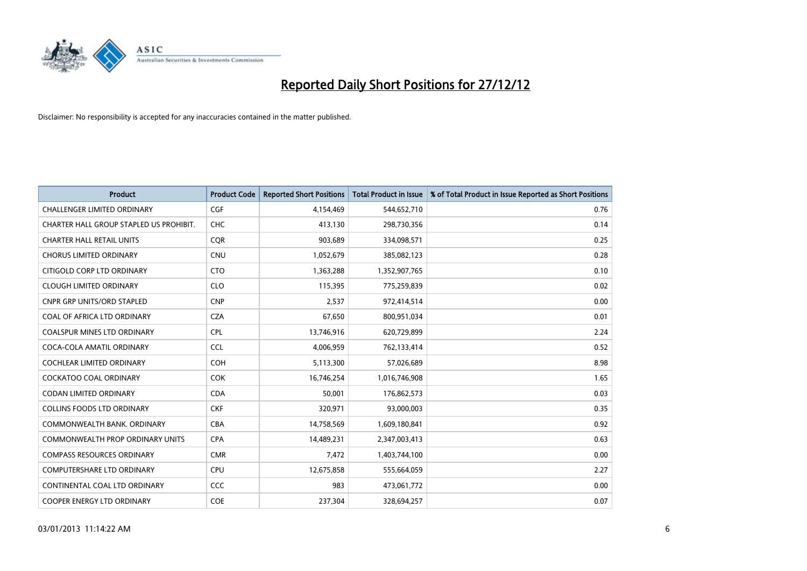

| <b>Product</b>                          | <b>Product Code</b> | <b>Reported Short Positions</b> | <b>Total Product in Issue</b> | % of Total Product in Issue Reported as Short Positions |
|-----------------------------------------|---------------------|---------------------------------|-------------------------------|---------------------------------------------------------|
| <b>CHALLENGER LIMITED ORDINARY</b>      | <b>CGF</b>          | 4,154,469                       | 544,652,710                   | 0.76                                                    |
| CHARTER HALL GROUP STAPLED US PROHIBIT. | <b>CHC</b>          | 413,130                         | 298,730,356                   | 0.14                                                    |
| <b>CHARTER HALL RETAIL UNITS</b>        | <b>COR</b>          | 903,689                         | 334,098,571                   | 0.25                                                    |
| <b>CHORUS LIMITED ORDINARY</b>          | <b>CNU</b>          | 1,052,679                       | 385,082,123                   | 0.28                                                    |
| CITIGOLD CORP LTD ORDINARY              | <b>CTO</b>          | 1,363,288                       | 1,352,907,765                 | 0.10                                                    |
| <b>CLOUGH LIMITED ORDINARY</b>          | <b>CLO</b>          | 115,395                         | 775,259,839                   | 0.02                                                    |
| <b>CNPR GRP UNITS/ORD STAPLED</b>       | <b>CNP</b>          | 2,537                           | 972,414,514                   | 0.00                                                    |
| COAL OF AFRICA LTD ORDINARY             | <b>CZA</b>          | 67,650                          | 800,951,034                   | 0.01                                                    |
| <b>COALSPUR MINES LTD ORDINARY</b>      | <b>CPL</b>          | 13,746,916                      | 620,729,899                   | 2.24                                                    |
| COCA-COLA AMATIL ORDINARY               | <b>CCL</b>          | 4,006,959                       | 762,133,414                   | 0.52                                                    |
| COCHLEAR LIMITED ORDINARY               | <b>COH</b>          | 5,113,300                       | 57,026,689                    | 8.98                                                    |
| COCKATOO COAL ORDINARY                  | <b>COK</b>          | 16,746,254                      | 1,016,746,908                 | 1.65                                                    |
| <b>CODAN LIMITED ORDINARY</b>           | <b>CDA</b>          | 50,001                          | 176,862,573                   | 0.03                                                    |
| <b>COLLINS FOODS LTD ORDINARY</b>       | <b>CKF</b>          | 320,971                         | 93,000,003                    | 0.35                                                    |
| COMMONWEALTH BANK, ORDINARY             | <b>CBA</b>          | 14,758,569                      | 1,609,180,841                 | 0.92                                                    |
| <b>COMMONWEALTH PROP ORDINARY UNITS</b> | <b>CPA</b>          | 14,489,231                      | 2,347,003,413                 | 0.63                                                    |
| <b>COMPASS RESOURCES ORDINARY</b>       | <b>CMR</b>          | 7,472                           | 1,403,744,100                 | 0.00                                                    |
| <b>COMPUTERSHARE LTD ORDINARY</b>       | <b>CPU</b>          | 12,675,858                      | 555,664,059                   | 2.27                                                    |
| CONTINENTAL COAL LTD ORDINARY           | <b>CCC</b>          | 983                             | 473,061,772                   | 0.00                                                    |
| COOPER ENERGY LTD ORDINARY              | <b>COE</b>          | 237,304                         | 328,694,257                   | 0.07                                                    |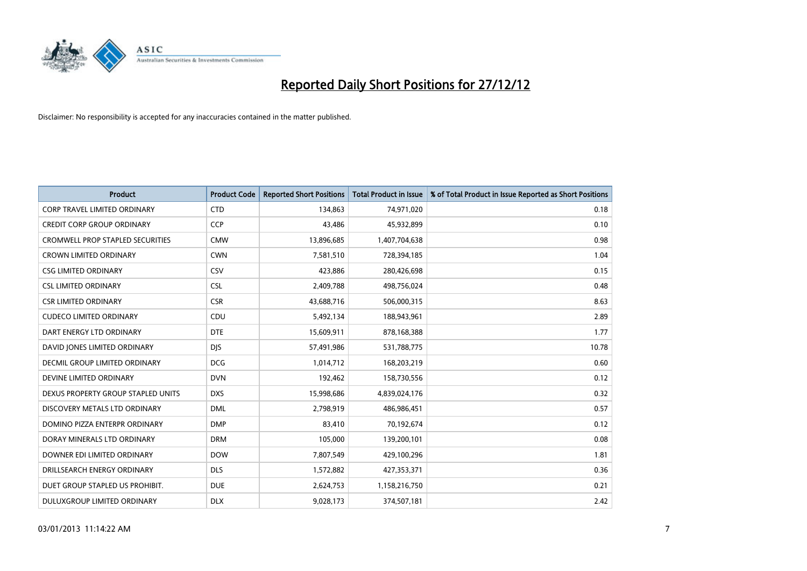

| <b>Product</b>                          | <b>Product Code</b> | <b>Reported Short Positions</b> | <b>Total Product in Issue</b> | % of Total Product in Issue Reported as Short Positions |
|-----------------------------------------|---------------------|---------------------------------|-------------------------------|---------------------------------------------------------|
| <b>CORP TRAVEL LIMITED ORDINARY</b>     | <b>CTD</b>          | 134,863                         | 74,971,020                    | 0.18                                                    |
| <b>CREDIT CORP GROUP ORDINARY</b>       | <b>CCP</b>          | 43,486                          | 45,932,899                    | 0.10                                                    |
| <b>CROMWELL PROP STAPLED SECURITIES</b> | <b>CMW</b>          | 13,896,685                      | 1,407,704,638                 | 0.98                                                    |
| <b>CROWN LIMITED ORDINARY</b>           | <b>CWN</b>          | 7,581,510                       | 728,394,185                   | 1.04                                                    |
| <b>CSG LIMITED ORDINARY</b>             | CSV                 | 423,886                         | 280,426,698                   | 0.15                                                    |
| <b>CSL LIMITED ORDINARY</b>             | <b>CSL</b>          | 2,409,788                       | 498,756,024                   | 0.48                                                    |
| <b>CSR LIMITED ORDINARY</b>             | <b>CSR</b>          | 43,688,716                      | 506,000,315                   | 8.63                                                    |
| <b>CUDECO LIMITED ORDINARY</b>          | CDU                 | 5,492,134                       | 188,943,961                   | 2.89                                                    |
| DART ENERGY LTD ORDINARY                | <b>DTE</b>          | 15,609,911                      | 878,168,388                   | 1.77                                                    |
| DAVID JONES LIMITED ORDINARY            | <b>DJS</b>          | 57,491,986                      | 531,788,775                   | 10.78                                                   |
| <b>DECMIL GROUP LIMITED ORDINARY</b>    | <b>DCG</b>          | 1,014,712                       | 168,203,219                   | 0.60                                                    |
| DEVINE LIMITED ORDINARY                 | <b>DVN</b>          | 192,462                         | 158,730,556                   | 0.12                                                    |
| DEXUS PROPERTY GROUP STAPLED UNITS      | <b>DXS</b>          | 15,998,686                      | 4,839,024,176                 | 0.32                                                    |
| DISCOVERY METALS LTD ORDINARY           | <b>DML</b>          | 2,798,919                       | 486,986,451                   | 0.57                                                    |
| DOMINO PIZZA ENTERPR ORDINARY           | <b>DMP</b>          | 83,410                          | 70,192,674                    | 0.12                                                    |
| DORAY MINERALS LTD ORDINARY             | <b>DRM</b>          | 105,000                         | 139,200,101                   | 0.08                                                    |
| DOWNER EDI LIMITED ORDINARY             | <b>DOW</b>          | 7,807,549                       | 429,100,296                   | 1.81                                                    |
| DRILLSEARCH ENERGY ORDINARY             | <b>DLS</b>          | 1,572,882                       | 427,353,371                   | 0.36                                                    |
| DUET GROUP STAPLED US PROHIBIT.         | <b>DUE</b>          | 2,624,753                       | 1,158,216,750                 | 0.21                                                    |
| <b>DULUXGROUP LIMITED ORDINARY</b>      | <b>DLX</b>          | 9,028,173                       | 374,507,181                   | 2.42                                                    |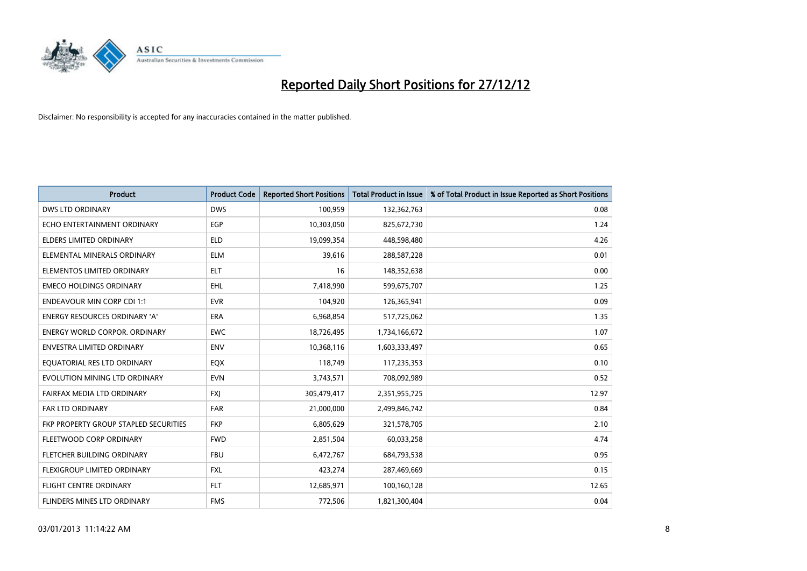

| <b>Product</b>                        | <b>Product Code</b> | <b>Reported Short Positions</b> | <b>Total Product in Issue</b> | % of Total Product in Issue Reported as Short Positions |
|---------------------------------------|---------------------|---------------------------------|-------------------------------|---------------------------------------------------------|
| <b>DWS LTD ORDINARY</b>               | <b>DWS</b>          | 100,959                         | 132,362,763                   | 0.08                                                    |
| ECHO ENTERTAINMENT ORDINARY           | <b>EGP</b>          | 10,303,050                      | 825,672,730                   | 1.24                                                    |
| <b>ELDERS LIMITED ORDINARY</b>        | <b>ELD</b>          | 19,099,354                      | 448,598,480                   | 4.26                                                    |
| ELEMENTAL MINERALS ORDINARY           | <b>ELM</b>          | 39,616                          | 288,587,228                   | 0.01                                                    |
| ELEMENTOS LIMITED ORDINARY            | <b>ELT</b>          | 16                              | 148,352,638                   | 0.00                                                    |
| <b>EMECO HOLDINGS ORDINARY</b>        | <b>EHL</b>          | 7,418,990                       | 599,675,707                   | 1.25                                                    |
| <b>ENDEAVOUR MIN CORP CDI 1:1</b>     | <b>EVR</b>          | 104,920                         | 126,365,941                   | 0.09                                                    |
| <b>ENERGY RESOURCES ORDINARY 'A'</b>  | <b>ERA</b>          | 6,968,854                       | 517,725,062                   | 1.35                                                    |
| <b>ENERGY WORLD CORPOR, ORDINARY</b>  | <b>EWC</b>          | 18,726,495                      | 1,734,166,672                 | 1.07                                                    |
| <b>ENVESTRA LIMITED ORDINARY</b>      | <b>ENV</b>          | 10,368,116                      | 1,603,333,497                 | 0.65                                                    |
| EQUATORIAL RES LTD ORDINARY           | EQX                 | 118,749                         | 117,235,353                   | 0.10                                                    |
| EVOLUTION MINING LTD ORDINARY         | <b>EVN</b>          | 3,743,571                       | 708,092,989                   | 0.52                                                    |
| FAIRFAX MEDIA LTD ORDINARY            | <b>FXI</b>          | 305,479,417                     | 2,351,955,725                 | 12.97                                                   |
| <b>FAR LTD ORDINARY</b>               | <b>FAR</b>          | 21,000,000                      | 2,499,846,742                 | 0.84                                                    |
| FKP PROPERTY GROUP STAPLED SECURITIES | <b>FKP</b>          | 6,805,629                       | 321,578,705                   | 2.10                                                    |
| FLEETWOOD CORP ORDINARY               | <b>FWD</b>          | 2,851,504                       | 60,033,258                    | 4.74                                                    |
| FLETCHER BUILDING ORDINARY            | <b>FBU</b>          | 6,472,767                       | 684,793,538                   | 0.95                                                    |
| FLEXIGROUP LIMITED ORDINARY           | <b>FXL</b>          | 423,274                         | 287,469,669                   | 0.15                                                    |
| <b>FLIGHT CENTRE ORDINARY</b>         | <b>FLT</b>          | 12,685,971                      | 100,160,128                   | 12.65                                                   |
| <b>FLINDERS MINES LTD ORDINARY</b>    | <b>FMS</b>          | 772.506                         | 1,821,300,404                 | 0.04                                                    |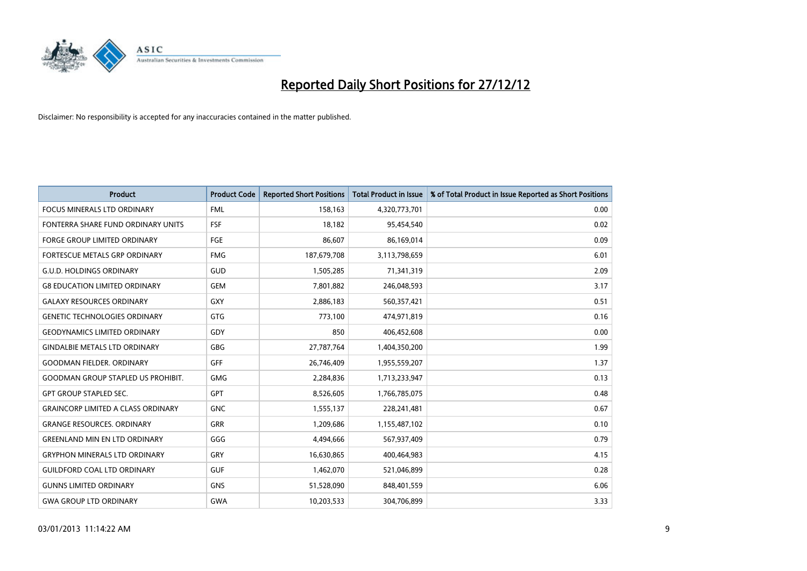

| <b>Product</b>                            | <b>Product Code</b> | <b>Reported Short Positions</b> | <b>Total Product in Issue</b> | % of Total Product in Issue Reported as Short Positions |
|-------------------------------------------|---------------------|---------------------------------|-------------------------------|---------------------------------------------------------|
| <b>FOCUS MINERALS LTD ORDINARY</b>        | <b>FML</b>          | 158,163                         | 4,320,773,701                 | 0.00                                                    |
| FONTERRA SHARE FUND ORDINARY UNITS        | <b>FSF</b>          | 18,182                          | 95,454,540                    | 0.02                                                    |
| <b>FORGE GROUP LIMITED ORDINARY</b>       | <b>FGE</b>          | 86,607                          | 86,169,014                    | 0.09                                                    |
| FORTESCUE METALS GRP ORDINARY             | <b>FMG</b>          | 187,679,708                     | 3,113,798,659                 | 6.01                                                    |
| <b>G.U.D. HOLDINGS ORDINARY</b>           | <b>GUD</b>          | 1,505,285                       | 71,341,319                    | 2.09                                                    |
| <b>G8 EDUCATION LIMITED ORDINARY</b>      | <b>GEM</b>          | 7,801,882                       | 246,048,593                   | 3.17                                                    |
| <b>GALAXY RESOURCES ORDINARY</b>          | GXY                 | 2,886,183                       | 560,357,421                   | 0.51                                                    |
| <b>GENETIC TECHNOLOGIES ORDINARY</b>      | <b>GTG</b>          | 773,100                         | 474,971,819                   | 0.16                                                    |
| <b>GEODYNAMICS LIMITED ORDINARY</b>       | GDY                 | 850                             | 406,452,608                   | 0.00                                                    |
| <b>GINDALBIE METALS LTD ORDINARY</b>      | <b>GBG</b>          | 27,787,764                      | 1,404,350,200                 | 1.99                                                    |
| <b>GOODMAN FIELDER, ORDINARY</b>          | <b>GFF</b>          | 26,746,409                      | 1,955,559,207                 | 1.37                                                    |
| <b>GOODMAN GROUP STAPLED US PROHIBIT.</b> | GMG                 | 2,284,836                       | 1,713,233,947                 | 0.13                                                    |
| <b>GPT GROUP STAPLED SEC.</b>             | GPT                 | 8,526,605                       | 1,766,785,075                 | 0.48                                                    |
| <b>GRAINCORP LIMITED A CLASS ORDINARY</b> | <b>GNC</b>          | 1,555,137                       | 228,241,481                   | 0.67                                                    |
| <b>GRANGE RESOURCES. ORDINARY</b>         | <b>GRR</b>          | 1,209,686                       | 1,155,487,102                 | 0.10                                                    |
| <b>GREENLAND MIN EN LTD ORDINARY</b>      | GGG                 | 4,494,666                       | 567,937,409                   | 0.79                                                    |
| <b>GRYPHON MINERALS LTD ORDINARY</b>      | GRY                 | 16,630,865                      | 400,464,983                   | 4.15                                                    |
| <b>GUILDFORD COAL LTD ORDINARY</b>        | <b>GUF</b>          | 1,462,070                       | 521,046,899                   | 0.28                                                    |
| <b>GUNNS LIMITED ORDINARY</b>             | <b>GNS</b>          | 51,528,090                      | 848,401,559                   | 6.06                                                    |
| <b>GWA GROUP LTD ORDINARY</b>             | <b>GWA</b>          | 10,203,533                      | 304,706,899                   | 3.33                                                    |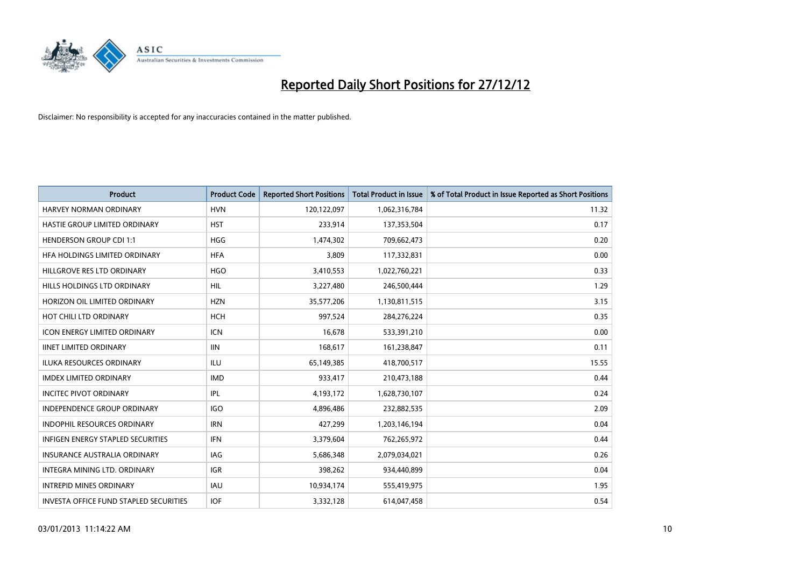

| <b>Product</b>                           | <b>Product Code</b> | <b>Reported Short Positions</b> | <b>Total Product in Issue</b> | % of Total Product in Issue Reported as Short Positions |
|------------------------------------------|---------------------|---------------------------------|-------------------------------|---------------------------------------------------------|
| <b>HARVEY NORMAN ORDINARY</b>            | <b>HVN</b>          | 120,122,097                     | 1,062,316,784                 | 11.32                                                   |
| HASTIE GROUP LIMITED ORDINARY            | <b>HST</b>          | 233,914                         | 137,353,504                   | 0.17                                                    |
| <b>HENDERSON GROUP CDI 1:1</b>           | <b>HGG</b>          | 1,474,302                       | 709,662,473                   | 0.20                                                    |
| HFA HOLDINGS LIMITED ORDINARY            | <b>HFA</b>          | 3,809                           | 117,332,831                   | 0.00                                                    |
| HILLGROVE RES LTD ORDINARY               | <b>HGO</b>          | 3,410,553                       | 1,022,760,221                 | 0.33                                                    |
| HILLS HOLDINGS LTD ORDINARY              | <b>HIL</b>          | 3,227,480                       | 246,500,444                   | 1.29                                                    |
| HORIZON OIL LIMITED ORDINARY             | <b>HZN</b>          | 35,577,206                      | 1,130,811,515                 | 3.15                                                    |
| HOT CHILI LTD ORDINARY                   | <b>HCH</b>          | 997,524                         | 284,276,224                   | 0.35                                                    |
| ICON ENERGY LIMITED ORDINARY             | <b>ICN</b>          | 16,678                          | 533,391,210                   | 0.00                                                    |
| <b>IINET LIMITED ORDINARY</b>            | <b>IIN</b>          | 168,617                         | 161,238,847                   | 0.11                                                    |
| ILUKA RESOURCES ORDINARY                 | ILU                 | 65,149,385                      | 418,700,517                   | 15.55                                                   |
| <b>IMDEX LIMITED ORDINARY</b>            | <b>IMD</b>          | 933,417                         | 210,473,188                   | 0.44                                                    |
| <b>INCITEC PIVOT ORDINARY</b>            | IPL                 | 4,193,172                       | 1,628,730,107                 | 0.24                                                    |
| <b>INDEPENDENCE GROUP ORDINARY</b>       | <b>IGO</b>          | 4,896,486                       | 232,882,535                   | 2.09                                                    |
| INDOPHIL RESOURCES ORDINARY              | <b>IRN</b>          | 427,299                         | 1,203,146,194                 | 0.04                                                    |
| <b>INFIGEN ENERGY STAPLED SECURITIES</b> | <b>IFN</b>          | 3,379,604                       | 762,265,972                   | 0.44                                                    |
| <b>INSURANCE AUSTRALIA ORDINARY</b>      | IAG                 | 5,686,348                       | 2,079,034,021                 | 0.26                                                    |
| INTEGRA MINING LTD. ORDINARY             | <b>IGR</b>          | 398,262                         | 934,440,899                   | 0.04                                                    |
| <b>INTREPID MINES ORDINARY</b>           | <b>IAU</b>          | 10,934,174                      | 555,419,975                   | 1.95                                                    |
| INVESTA OFFICE FUND STAPLED SECURITIES   | <b>IOF</b>          | 3,332,128                       | 614,047,458                   | 0.54                                                    |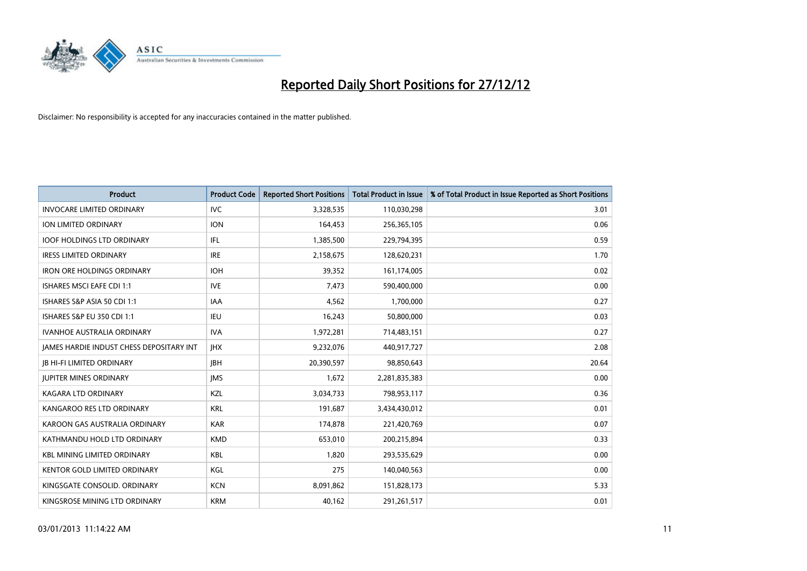

| <b>Product</b>                                  | <b>Product Code</b> | <b>Reported Short Positions</b> | <b>Total Product in Issue</b> | % of Total Product in Issue Reported as Short Positions |
|-------------------------------------------------|---------------------|---------------------------------|-------------------------------|---------------------------------------------------------|
| <b>INVOCARE LIMITED ORDINARY</b>                | <b>IVC</b>          | 3,328,535                       | 110,030,298                   | 3.01                                                    |
| ION LIMITED ORDINARY                            | <b>ION</b>          | 164,453                         | 256,365,105                   | 0.06                                                    |
| <b>IOOF HOLDINGS LTD ORDINARY</b>               | <b>IFL</b>          | 1,385,500                       | 229,794,395                   | 0.59                                                    |
| <b>IRESS LIMITED ORDINARY</b>                   | <b>IRE</b>          | 2,158,675                       | 128,620,231                   | 1.70                                                    |
| <b>IRON ORE HOLDINGS ORDINARY</b>               | <b>IOH</b>          | 39,352                          | 161,174,005                   | 0.02                                                    |
| <b>ISHARES MSCI EAFE CDI 1:1</b>                | <b>IVE</b>          | 7,473                           | 590,400,000                   | 0.00                                                    |
| ISHARES S&P ASIA 50 CDI 1:1                     | IAA                 | 4,562                           | 1,700,000                     | 0.27                                                    |
| ISHARES S&P EU 350 CDI 1:1                      | <b>IEU</b>          | 16,243                          | 50,800,000                    | 0.03                                                    |
| <b>IVANHOE AUSTRALIA ORDINARY</b>               | <b>IVA</b>          | 1,972,281                       | 714,483,151                   | 0.27                                                    |
| <b>JAMES HARDIE INDUST CHESS DEPOSITARY INT</b> | <b>IHX</b>          | 9,232,076                       | 440,917,727                   | 2.08                                                    |
| <b>IB HI-FI LIMITED ORDINARY</b>                | <b>IBH</b>          | 20,390,597                      | 98,850,643                    | 20.64                                                   |
| <b>JUPITER MINES ORDINARY</b>                   | <b>IMS</b>          | 1,672                           | 2,281,835,383                 | 0.00                                                    |
| KAGARA LTD ORDINARY                             | KZL                 | 3,034,733                       | 798,953,117                   | 0.36                                                    |
| KANGAROO RES LTD ORDINARY                       | <b>KRL</b>          | 191,687                         | 3,434,430,012                 | 0.01                                                    |
| KAROON GAS AUSTRALIA ORDINARY                   | <b>KAR</b>          | 174,878                         | 221,420,769                   | 0.07                                                    |
| KATHMANDU HOLD LTD ORDINARY                     | <b>KMD</b>          | 653,010                         | 200,215,894                   | 0.33                                                    |
| <b>KBL MINING LIMITED ORDINARY</b>              | <b>KBL</b>          | 1,820                           | 293,535,629                   | 0.00                                                    |
| KENTOR GOLD LIMITED ORDINARY                    | KGL                 | 275                             | 140,040,563                   | 0.00                                                    |
| KINGSGATE CONSOLID. ORDINARY                    | <b>KCN</b>          | 8,091,862                       | 151,828,173                   | 5.33                                                    |
| KINGSROSE MINING LTD ORDINARY                   | <b>KRM</b>          | 40,162                          | 291,261,517                   | 0.01                                                    |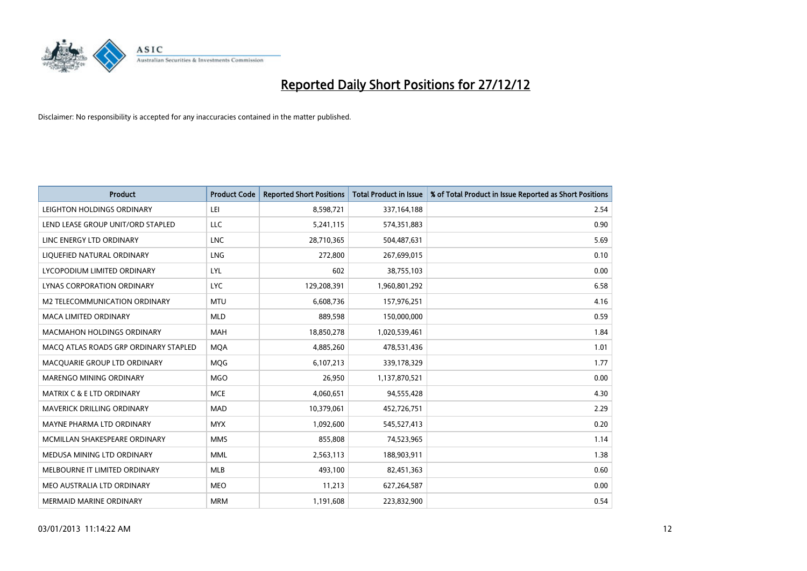

| <b>Product</b>                        | <b>Product Code</b> | <b>Reported Short Positions</b> | <b>Total Product in Issue</b> | % of Total Product in Issue Reported as Short Positions |
|---------------------------------------|---------------------|---------------------------------|-------------------------------|---------------------------------------------------------|
| LEIGHTON HOLDINGS ORDINARY            | LEI                 | 8,598,721                       | 337,164,188                   | 2.54                                                    |
| LEND LEASE GROUP UNIT/ORD STAPLED     | LLC                 | 5,241,115                       | 574,351,883                   | 0.90                                                    |
| LINC ENERGY LTD ORDINARY              | <b>LNC</b>          | 28,710,365                      | 504,487,631                   | 5.69                                                    |
| LIQUEFIED NATURAL ORDINARY            | LNG                 | 272,800                         | 267,699,015                   | 0.10                                                    |
| LYCOPODIUM LIMITED ORDINARY           | LYL                 | 602                             | 38,755,103                    | 0.00                                                    |
| LYNAS CORPORATION ORDINARY            | <b>LYC</b>          | 129,208,391                     | 1,960,801,292                 | 6.58                                                    |
| M2 TELECOMMUNICATION ORDINARY         | <b>MTU</b>          | 6,608,736                       | 157,976,251                   | 4.16                                                    |
| MACA LIMITED ORDINARY                 | <b>MLD</b>          | 889,598                         | 150,000,000                   | 0.59                                                    |
| <b>MACMAHON HOLDINGS ORDINARY</b>     | <b>MAH</b>          | 18,850,278                      | 1,020,539,461                 | 1.84                                                    |
| MACO ATLAS ROADS GRP ORDINARY STAPLED | <b>MOA</b>          | 4,885,260                       | 478,531,436                   | 1.01                                                    |
| MACQUARIE GROUP LTD ORDINARY          | MQG                 | 6,107,213                       | 339,178,329                   | 1.77                                                    |
| <b>MARENGO MINING ORDINARY</b>        | <b>MGO</b>          | 26,950                          | 1,137,870,521                 | 0.00                                                    |
| <b>MATRIX C &amp; E LTD ORDINARY</b>  | <b>MCE</b>          | 4,060,651                       | 94,555,428                    | 4.30                                                    |
| <b>MAVERICK DRILLING ORDINARY</b>     | <b>MAD</b>          | 10,379,061                      | 452,726,751                   | 2.29                                                    |
| MAYNE PHARMA LTD ORDINARY             | <b>MYX</b>          | 1,092,600                       | 545,527,413                   | 0.20                                                    |
| MCMILLAN SHAKESPEARE ORDINARY         | <b>MMS</b>          | 855,808                         | 74,523,965                    | 1.14                                                    |
| MEDUSA MINING LTD ORDINARY            | <b>MML</b>          | 2,563,113                       | 188,903,911                   | 1.38                                                    |
| MELBOURNE IT LIMITED ORDINARY         | <b>MLB</b>          | 493,100                         | 82,451,363                    | 0.60                                                    |
| MEO AUSTRALIA LTD ORDINARY            | <b>MEO</b>          | 11,213                          | 627,264,587                   | 0.00                                                    |
| <b>MERMAID MARINE ORDINARY</b>        | <b>MRM</b>          | 1,191,608                       | 223,832,900                   | 0.54                                                    |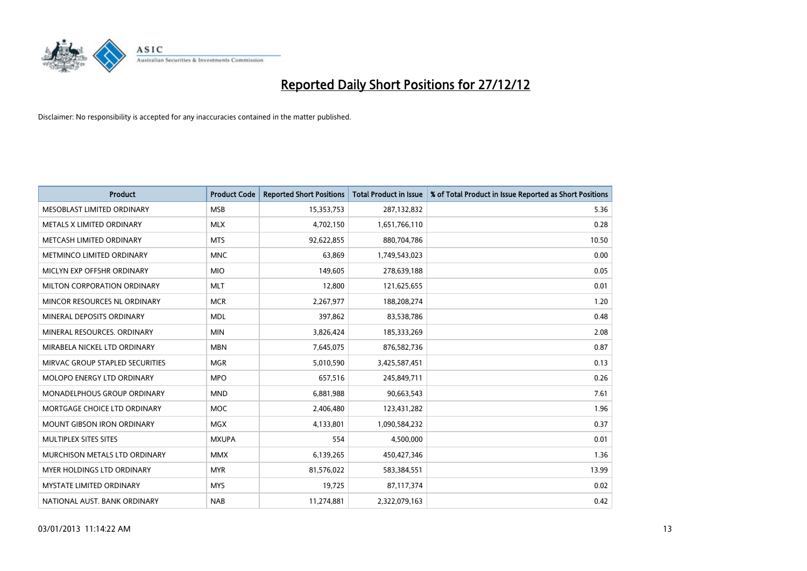

| <b>Product</b>                       | <b>Product Code</b> | <b>Reported Short Positions</b> | <b>Total Product in Issue</b> | % of Total Product in Issue Reported as Short Positions |
|--------------------------------------|---------------------|---------------------------------|-------------------------------|---------------------------------------------------------|
| MESOBLAST LIMITED ORDINARY           | <b>MSB</b>          | 15,353,753                      | 287,132,832                   | 5.36                                                    |
| METALS X LIMITED ORDINARY            | <b>MLX</b>          | 4,702,150                       | 1,651,766,110                 | 0.28                                                    |
| <b>METCASH LIMITED ORDINARY</b>      | <b>MTS</b>          | 92,622,855                      | 880,704,786                   | 10.50                                                   |
| METMINCO LIMITED ORDINARY            | <b>MNC</b>          | 63,869                          | 1,749,543,023                 | 0.00                                                    |
| MICLYN EXP OFFSHR ORDINARY           | <b>MIO</b>          | 149.605                         | 278,639,188                   | 0.05                                                    |
| <b>MILTON CORPORATION ORDINARY</b>   | <b>MLT</b>          | 12,800                          | 121,625,655                   | 0.01                                                    |
| MINCOR RESOURCES NL ORDINARY         | <b>MCR</b>          | 2,267,977                       | 188,208,274                   | 1.20                                                    |
| MINERAL DEPOSITS ORDINARY            | <b>MDL</b>          | 397,862                         | 83,538,786                    | 0.48                                                    |
| MINERAL RESOURCES. ORDINARY          | <b>MIN</b>          | 3,826,424                       | 185,333,269                   | 2.08                                                    |
| MIRABELA NICKEL LTD ORDINARY         | <b>MBN</b>          | 7,645,075                       | 876,582,736                   | 0.87                                                    |
| MIRVAC GROUP STAPLED SECURITIES      | <b>MGR</b>          | 5,010,590                       | 3,425,587,451                 | 0.13                                                    |
| <b>MOLOPO ENERGY LTD ORDINARY</b>    | <b>MPO</b>          | 657,516                         | 245,849,711                   | 0.26                                                    |
| <b>MONADELPHOUS GROUP ORDINARY</b>   | <b>MND</b>          | 6,881,988                       | 90,663,543                    | 7.61                                                    |
| MORTGAGE CHOICE LTD ORDINARY         | <b>MOC</b>          | 2,406,480                       | 123,431,282                   | 1.96                                                    |
| <b>MOUNT GIBSON IRON ORDINARY</b>    | <b>MGX</b>          | 4,133,801                       | 1,090,584,232                 | 0.37                                                    |
| MULTIPLEX SITES SITES                | <b>MXUPA</b>        | 554                             | 4,500,000                     | 0.01                                                    |
| <b>MURCHISON METALS LTD ORDINARY</b> | <b>MMX</b>          | 6,139,265                       | 450,427,346                   | 1.36                                                    |
| MYER HOLDINGS LTD ORDINARY           | <b>MYR</b>          | 81,576,022                      | 583,384,551                   | 13.99                                                   |
| <b>MYSTATE LIMITED ORDINARY</b>      | <b>MYS</b>          | 19,725                          | 87,117,374                    | 0.02                                                    |
| NATIONAL AUST. BANK ORDINARY         | <b>NAB</b>          | 11,274,881                      | 2,322,079,163                 | 0.42                                                    |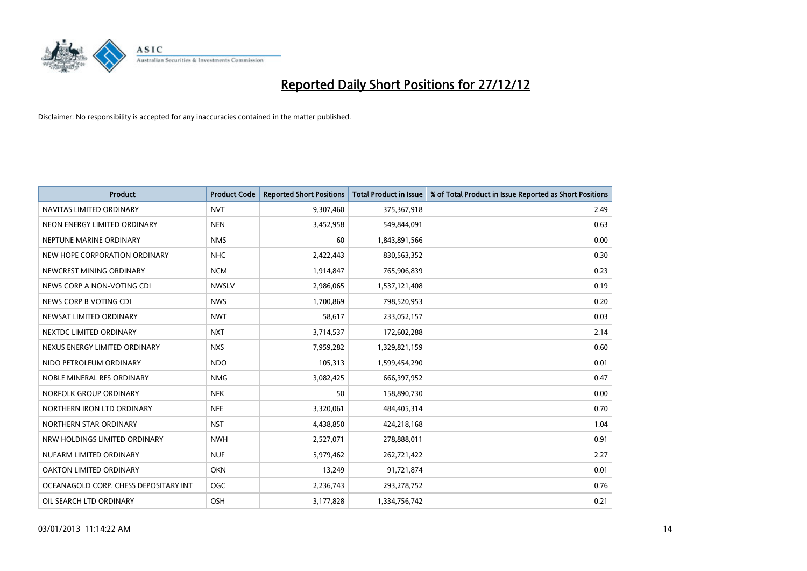

| <b>Product</b>                        | <b>Product Code</b> | <b>Reported Short Positions</b> | <b>Total Product in Issue</b> | % of Total Product in Issue Reported as Short Positions |
|---------------------------------------|---------------------|---------------------------------|-------------------------------|---------------------------------------------------------|
| NAVITAS LIMITED ORDINARY              | <b>NVT</b>          | 9,307,460                       | 375,367,918                   | 2.49                                                    |
| NEON ENERGY LIMITED ORDINARY          | <b>NEN</b>          | 3,452,958                       | 549,844,091                   | 0.63                                                    |
| NEPTUNE MARINE ORDINARY               | <b>NMS</b>          | 60                              | 1,843,891,566                 | 0.00                                                    |
| NEW HOPE CORPORATION ORDINARY         | <b>NHC</b>          | 2,422,443                       | 830,563,352                   | 0.30                                                    |
| NEWCREST MINING ORDINARY              | <b>NCM</b>          | 1,914,847                       | 765,906,839                   | 0.23                                                    |
| NEWS CORP A NON-VOTING CDI            | <b>NWSLV</b>        | 2,986,065                       | 1,537,121,408                 | 0.19                                                    |
| NEWS CORP B VOTING CDI                | <b>NWS</b>          | 1,700,869                       | 798,520,953                   | 0.20                                                    |
| NEWSAT LIMITED ORDINARY               | <b>NWT</b>          | 58,617                          | 233,052,157                   | 0.03                                                    |
| NEXTDC LIMITED ORDINARY               | <b>NXT</b>          | 3,714,537                       | 172,602,288                   | 2.14                                                    |
| NEXUS ENERGY LIMITED ORDINARY         | <b>NXS</b>          | 7,959,282                       | 1,329,821,159                 | 0.60                                                    |
| NIDO PETROLEUM ORDINARY               | <b>NDO</b>          | 105,313                         | 1,599,454,290                 | 0.01                                                    |
| NOBLE MINERAL RES ORDINARY            | <b>NMG</b>          | 3,082,425                       | 666,397,952                   | 0.47                                                    |
| NORFOLK GROUP ORDINARY                | <b>NFK</b>          | 50                              | 158,890,730                   | 0.00                                                    |
| NORTHERN IRON LTD ORDINARY            | <b>NFE</b>          | 3,320,061                       | 484,405,314                   | 0.70                                                    |
| NORTHERN STAR ORDINARY                | <b>NST</b>          | 4,438,850                       | 424,218,168                   | 1.04                                                    |
| NRW HOLDINGS LIMITED ORDINARY         | <b>NWH</b>          | 2,527,071                       | 278,888,011                   | 0.91                                                    |
| NUFARM LIMITED ORDINARY               | <b>NUF</b>          | 5,979,462                       | 262,721,422                   | 2.27                                                    |
| OAKTON LIMITED ORDINARY               | <b>OKN</b>          | 13,249                          | 91,721,874                    | 0.01                                                    |
| OCEANAGOLD CORP. CHESS DEPOSITARY INT | <b>OGC</b>          | 2,236,743                       | 293,278,752                   | 0.76                                                    |
| OIL SEARCH LTD ORDINARY               | OSH                 | 3,177,828                       | 1,334,756,742                 | 0.21                                                    |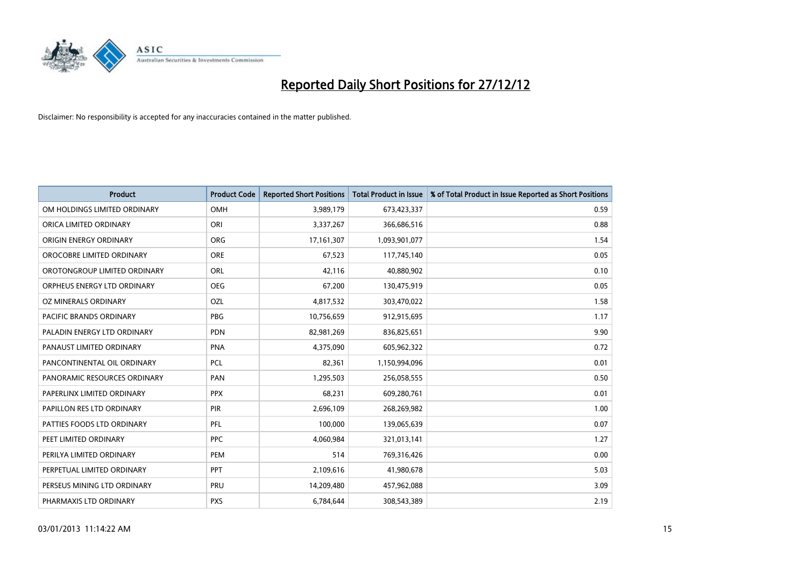

| <b>Product</b>               | <b>Product Code</b> | <b>Reported Short Positions</b> | <b>Total Product in Issue</b> | % of Total Product in Issue Reported as Short Positions |
|------------------------------|---------------------|---------------------------------|-------------------------------|---------------------------------------------------------|
| OM HOLDINGS LIMITED ORDINARY | OMH                 | 3,989,179                       | 673,423,337                   | 0.59                                                    |
| ORICA LIMITED ORDINARY       | ORI                 | 3,337,267                       | 366,686,516                   | 0.88                                                    |
| ORIGIN ENERGY ORDINARY       | <b>ORG</b>          | 17, 161, 307                    | 1,093,901,077                 | 1.54                                                    |
| OROCOBRE LIMITED ORDINARY    | <b>ORE</b>          | 67,523                          | 117,745,140                   | 0.05                                                    |
| OROTONGROUP LIMITED ORDINARY | ORL                 | 42,116                          | 40,880,902                    | 0.10                                                    |
| ORPHEUS ENERGY LTD ORDINARY  | <b>OEG</b>          | 67,200                          | 130,475,919                   | 0.05                                                    |
| OZ MINERALS ORDINARY         | OZL                 | 4,817,532                       | 303,470,022                   | 1.58                                                    |
| PACIFIC BRANDS ORDINARY      | <b>PBG</b>          | 10,756,659                      | 912,915,695                   | 1.17                                                    |
| PALADIN ENERGY LTD ORDINARY  | <b>PDN</b>          | 82,981,269                      | 836,825,651                   | 9.90                                                    |
| PANAUST LIMITED ORDINARY     | PNA                 | 4,375,090                       | 605,962,322                   | 0.72                                                    |
| PANCONTINENTAL OIL ORDINARY  | PCL                 | 82,361                          | 1,150,994,096                 | 0.01                                                    |
| PANORAMIC RESOURCES ORDINARY | PAN                 | 1,295,503                       | 256,058,555                   | 0.50                                                    |
| PAPERLINX LIMITED ORDINARY   | <b>PPX</b>          | 68,231                          | 609,280,761                   | 0.01                                                    |
| PAPILLON RES LTD ORDINARY    | <b>PIR</b>          | 2,696,109                       | 268,269,982                   | 1.00                                                    |
| PATTIES FOODS LTD ORDINARY   | <b>PFL</b>          | 100,000                         | 139,065,639                   | 0.07                                                    |
| PEET LIMITED ORDINARY        | <b>PPC</b>          | 4,060,984                       | 321,013,141                   | 1.27                                                    |
| PERILYA LIMITED ORDINARY     | PEM                 | 514                             | 769,316,426                   | 0.00                                                    |
| PERPETUAL LIMITED ORDINARY   | <b>PPT</b>          | 2,109,616                       | 41,980,678                    | 5.03                                                    |
| PERSEUS MINING LTD ORDINARY  | PRU                 | 14,209,480                      | 457,962,088                   | 3.09                                                    |
| PHARMAXIS LTD ORDINARY       | <b>PXS</b>          | 6,784,644                       | 308,543,389                   | 2.19                                                    |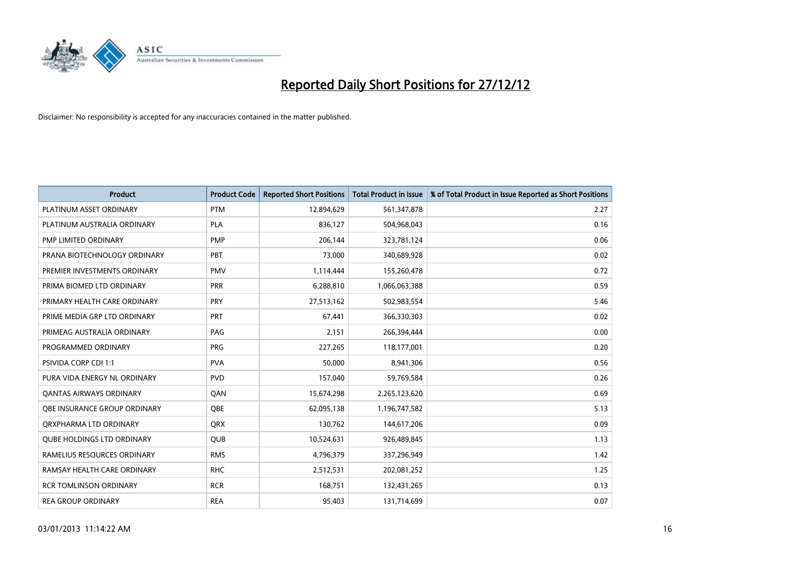

| <b>Product</b>                    | <b>Product Code</b> | <b>Reported Short Positions</b> | <b>Total Product in Issue</b> | % of Total Product in Issue Reported as Short Positions |
|-----------------------------------|---------------------|---------------------------------|-------------------------------|---------------------------------------------------------|
| PLATINUM ASSET ORDINARY           | <b>PTM</b>          | 12,894,629                      | 561,347,878                   | 2.27                                                    |
| PLATINUM AUSTRALIA ORDINARY       | <b>PLA</b>          | 836,127                         | 504,968,043                   | 0.16                                                    |
| PMP LIMITED ORDINARY              | <b>PMP</b>          | 206,144                         | 323,781,124                   | 0.06                                                    |
| PRANA BIOTECHNOLOGY ORDINARY      | PBT                 | 73,000                          | 340,689,928                   | 0.02                                                    |
| PREMIER INVESTMENTS ORDINARY      | <b>PMV</b>          | 1,114,444                       | 155,260,478                   | 0.72                                                    |
| PRIMA BIOMED LTD ORDINARY         | <b>PRR</b>          | 6,288,810                       | 1,066,063,388                 | 0.59                                                    |
| PRIMARY HEALTH CARE ORDINARY      | <b>PRY</b>          | 27,513,162                      | 502,983,554                   | 5.46                                                    |
| PRIME MEDIA GRP LTD ORDINARY      | PRT                 | 67,441                          | 366,330,303                   | 0.02                                                    |
| PRIMEAG AUSTRALIA ORDINARY        | PAG                 | 2,151                           | 266,394,444                   | 0.00                                                    |
| PROGRAMMED ORDINARY               | <b>PRG</b>          | 227,265                         | 118,177,001                   | 0.20                                                    |
| <b>PSIVIDA CORP CDI 1:1</b>       | <b>PVA</b>          | 50,000                          | 8,941,306                     | 0.56                                                    |
| PURA VIDA ENERGY NL ORDINARY      | <b>PVD</b>          | 157,040                         | 59,769,584                    | 0.26                                                    |
| <b>QANTAS AIRWAYS ORDINARY</b>    | QAN                 | 15,674,298                      | 2,265,123,620                 | 0.69                                                    |
| OBE INSURANCE GROUP ORDINARY      | <b>OBE</b>          | 62,095,138                      | 1,196,747,582                 | 5.13                                                    |
| ORXPHARMA LTD ORDINARY            | <b>QRX</b>          | 130,762                         | 144,617,206                   | 0.09                                                    |
| <b>QUBE HOLDINGS LTD ORDINARY</b> | <b>QUB</b>          | 10,524,631                      | 926,489,845                   | 1.13                                                    |
| RAMELIUS RESOURCES ORDINARY       | <b>RMS</b>          | 4,796,379                       | 337,296,949                   | 1.42                                                    |
| RAMSAY HEALTH CARE ORDINARY       | <b>RHC</b>          | 2,512,531                       | 202,081,252                   | 1.25                                                    |
| <b>RCR TOMLINSON ORDINARY</b>     | <b>RCR</b>          | 168,751                         | 132,431,265                   | 0.13                                                    |
| <b>REA GROUP ORDINARY</b>         | <b>REA</b>          | 95.403                          | 131,714,699                   | 0.07                                                    |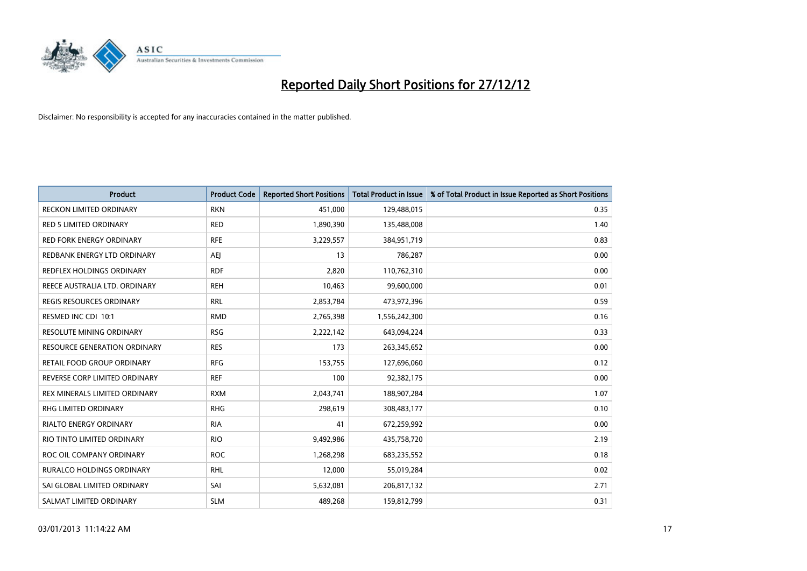

| <b>Product</b>                      | <b>Product Code</b> | <b>Reported Short Positions</b> | <b>Total Product in Issue</b> | % of Total Product in Issue Reported as Short Positions |
|-------------------------------------|---------------------|---------------------------------|-------------------------------|---------------------------------------------------------|
| <b>RECKON LIMITED ORDINARY</b>      | <b>RKN</b>          | 451,000                         | 129,488,015                   | 0.35                                                    |
| <b>RED 5 LIMITED ORDINARY</b>       | <b>RED</b>          | 1,890,390                       | 135,488,008                   | 1.40                                                    |
| <b>RED FORK ENERGY ORDINARY</b>     | <b>RFE</b>          | 3,229,557                       | 384,951,719                   | 0.83                                                    |
| REDBANK ENERGY LTD ORDINARY         | AEJ                 | 13                              | 786,287                       | 0.00                                                    |
| REDFLEX HOLDINGS ORDINARY           | <b>RDF</b>          | 2,820                           | 110,762,310                   | 0.00                                                    |
| REECE AUSTRALIA LTD. ORDINARY       | <b>REH</b>          | 10,463                          | 99,600,000                    | 0.01                                                    |
| <b>REGIS RESOURCES ORDINARY</b>     | <b>RRL</b>          | 2,853,784                       | 473,972,396                   | 0.59                                                    |
| RESMED INC CDI 10:1                 | <b>RMD</b>          | 2,765,398                       | 1,556,242,300                 | 0.16                                                    |
| <b>RESOLUTE MINING ORDINARY</b>     | <b>RSG</b>          | 2,222,142                       | 643,094,224                   | 0.33                                                    |
| <b>RESOURCE GENERATION ORDINARY</b> | <b>RES</b>          | 173                             | 263,345,652                   | 0.00                                                    |
| RETAIL FOOD GROUP ORDINARY          | <b>RFG</b>          | 153,755                         | 127,696,060                   | 0.12                                                    |
| REVERSE CORP LIMITED ORDINARY       | <b>REF</b>          | 100                             | 92,382,175                    | 0.00                                                    |
| REX MINERALS LIMITED ORDINARY       | <b>RXM</b>          | 2,043,741                       | 188,907,284                   | 1.07                                                    |
| <b>RHG LIMITED ORDINARY</b>         | <b>RHG</b>          | 298,619                         | 308,483,177                   | 0.10                                                    |
| <b>RIALTO ENERGY ORDINARY</b>       | <b>RIA</b>          | 41                              | 672,259,992                   | 0.00                                                    |
| RIO TINTO LIMITED ORDINARY          | <b>RIO</b>          | 9,492,986                       | 435,758,720                   | 2.19                                                    |
| ROC OIL COMPANY ORDINARY            | <b>ROC</b>          | 1,268,298                       | 683,235,552                   | 0.18                                                    |
| RURALCO HOLDINGS ORDINARY           | <b>RHL</b>          | 12,000                          | 55,019,284                    | 0.02                                                    |
| SAI GLOBAL LIMITED ORDINARY         | SAI                 | 5,632,081                       | 206,817,132                   | 2.71                                                    |
| SALMAT LIMITED ORDINARY             | <b>SLM</b>          | 489,268                         | 159,812,799                   | 0.31                                                    |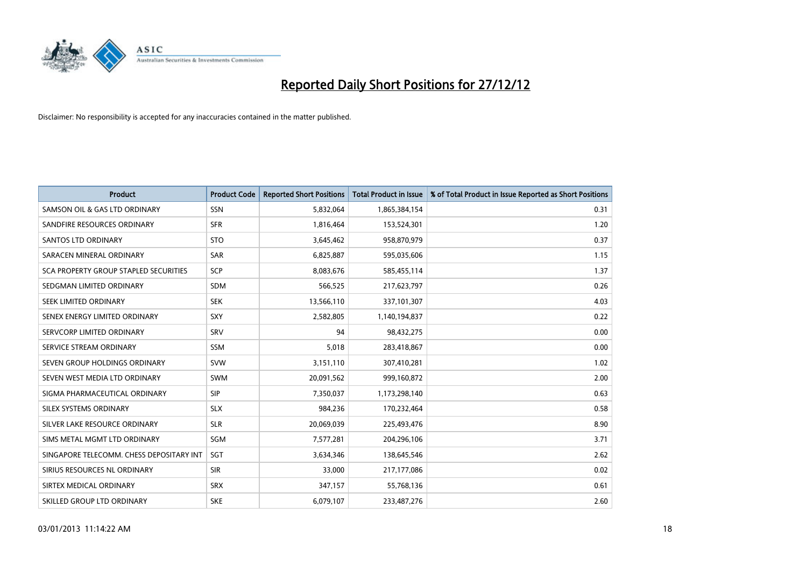

| <b>Product</b>                               | <b>Product Code</b> | <b>Reported Short Positions</b> | <b>Total Product in Issue</b> | % of Total Product in Issue Reported as Short Positions |
|----------------------------------------------|---------------------|---------------------------------|-------------------------------|---------------------------------------------------------|
| SAMSON OIL & GAS LTD ORDINARY                | <b>SSN</b>          | 5,832,064                       | 1,865,384,154                 | 0.31                                                    |
| SANDFIRE RESOURCES ORDINARY                  | <b>SFR</b>          | 1,816,464                       | 153,524,301                   | 1.20                                                    |
| <b>SANTOS LTD ORDINARY</b>                   | <b>STO</b>          | 3,645,462                       | 958,870,979                   | 0.37                                                    |
| SARACEN MINERAL ORDINARY                     | <b>SAR</b>          | 6,825,887                       | 595,035,606                   | 1.15                                                    |
| <b>SCA PROPERTY GROUP STAPLED SECURITIES</b> | SCP                 | 8,083,676                       | 585,455,114                   | 1.37                                                    |
| SEDGMAN LIMITED ORDINARY                     | <b>SDM</b>          | 566,525                         | 217,623,797                   | 0.26                                                    |
| SEEK LIMITED ORDINARY                        | <b>SEK</b>          | 13,566,110                      | 337,101,307                   | 4.03                                                    |
| SENEX ENERGY LIMITED ORDINARY                | SXY                 | 2,582,805                       | 1,140,194,837                 | 0.22                                                    |
| SERVCORP LIMITED ORDINARY                    | SRV                 | 94                              | 98,432,275                    | 0.00                                                    |
| SERVICE STREAM ORDINARY                      | <b>SSM</b>          | 5,018                           | 283,418,867                   | 0.00                                                    |
| SEVEN GROUP HOLDINGS ORDINARY                | <b>SVW</b>          | 3,151,110                       | 307,410,281                   | 1.02                                                    |
| SEVEN WEST MEDIA LTD ORDINARY                | <b>SWM</b>          | 20,091,562                      | 999,160,872                   | 2.00                                                    |
| SIGMA PHARMACEUTICAL ORDINARY                | <b>SIP</b>          | 7,350,037                       | 1,173,298,140                 | 0.63                                                    |
| SILEX SYSTEMS ORDINARY                       | <b>SLX</b>          | 984.236                         | 170,232,464                   | 0.58                                                    |
| SILVER LAKE RESOURCE ORDINARY                | <b>SLR</b>          | 20,069,039                      | 225,493,476                   | 8.90                                                    |
| SIMS METAL MGMT LTD ORDINARY                 | SGM                 | 7,577,281                       | 204,296,106                   | 3.71                                                    |
| SINGAPORE TELECOMM. CHESS DEPOSITARY INT     | <b>SGT</b>          | 3,634,346                       | 138,645,546                   | 2.62                                                    |
| SIRIUS RESOURCES NL ORDINARY                 | <b>SIR</b>          | 33,000                          | 217,177,086                   | 0.02                                                    |
| SIRTEX MEDICAL ORDINARY                      | <b>SRX</b>          | 347,157                         | 55,768,136                    | 0.61                                                    |
| SKILLED GROUP LTD ORDINARY                   | <b>SKE</b>          | 6,079,107                       | 233,487,276                   | 2.60                                                    |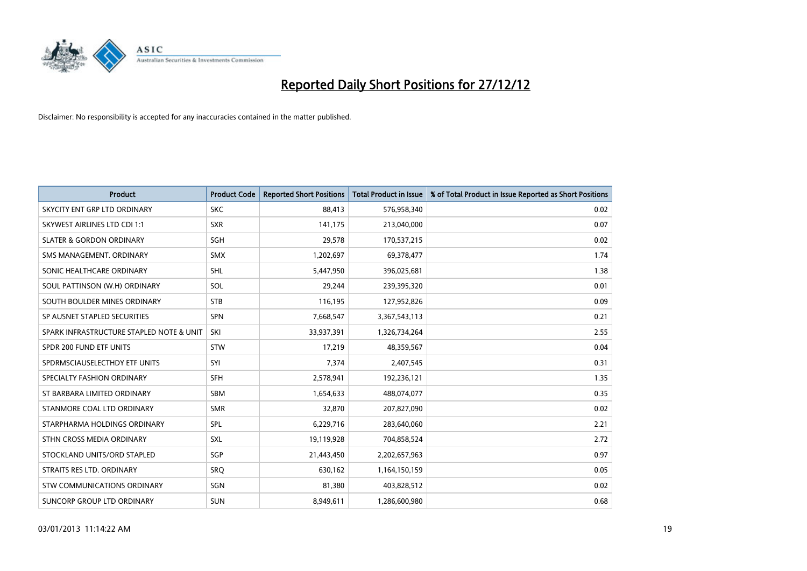

| <b>Product</b>                           | <b>Product Code</b> | <b>Reported Short Positions</b> | <b>Total Product in Issue</b> | % of Total Product in Issue Reported as Short Positions |
|------------------------------------------|---------------------|---------------------------------|-------------------------------|---------------------------------------------------------|
| SKYCITY ENT GRP LTD ORDINARY             | <b>SKC</b>          | 88.413                          | 576,958,340                   | 0.02                                                    |
| SKYWEST AIRLINES LTD CDI 1:1             | <b>SXR</b>          | 141,175                         | 213,040,000                   | 0.07                                                    |
| <b>SLATER &amp; GORDON ORDINARY</b>      | <b>SGH</b>          | 29,578                          | 170,537,215                   | 0.02                                                    |
| SMS MANAGEMENT. ORDINARY                 | <b>SMX</b>          | 1,202,697                       | 69,378,477                    | 1.74                                                    |
| SONIC HEALTHCARE ORDINARY                | <b>SHL</b>          | 5,447,950                       | 396,025,681                   | 1.38                                                    |
| SOUL PATTINSON (W.H) ORDINARY            | SOL                 | 29.244                          | 239,395,320                   | 0.01                                                    |
| SOUTH BOULDER MINES ORDINARY             | <b>STB</b>          | 116,195                         | 127,952,826                   | 0.09                                                    |
| SP AUSNET STAPLED SECURITIES             | <b>SPN</b>          | 7,668,547                       | 3,367,543,113                 | 0.21                                                    |
| SPARK INFRASTRUCTURE STAPLED NOTE & UNIT | SKI                 | 33,937,391                      | 1,326,734,264                 | 2.55                                                    |
| SPDR 200 FUND ETF UNITS                  | <b>STW</b>          | 17,219                          | 48,359,567                    | 0.04                                                    |
| SPDRMSCIAUSELECTHDY ETF UNITS            | SYI                 | 7,374                           | 2,407,545                     | 0.31                                                    |
| SPECIALTY FASHION ORDINARY               | <b>SFH</b>          | 2,578,941                       | 192,236,121                   | 1.35                                                    |
| ST BARBARA LIMITED ORDINARY              | <b>SBM</b>          | 1,654,633                       | 488,074,077                   | 0.35                                                    |
| STANMORE COAL LTD ORDINARY               | <b>SMR</b>          | 32,870                          | 207,827,090                   | 0.02                                                    |
| STARPHARMA HOLDINGS ORDINARY             | SPL                 | 6,229,716                       | 283,640,060                   | 2.21                                                    |
| STHN CROSS MEDIA ORDINARY                | SXL                 | 19,119,928                      | 704,858,524                   | 2.72                                                    |
| STOCKLAND UNITS/ORD STAPLED              | <b>SGP</b>          | 21,443,450                      | 2,202,657,963                 | 0.97                                                    |
| STRAITS RES LTD. ORDINARY                | SRQ                 | 630,162                         | 1,164,150,159                 | 0.05                                                    |
| STW COMMUNICATIONS ORDINARY              | SGN                 | 81,380                          | 403,828,512                   | 0.02                                                    |
| SUNCORP GROUP LTD ORDINARY               | <b>SUN</b>          | 8,949,611                       | 1,286,600,980                 | 0.68                                                    |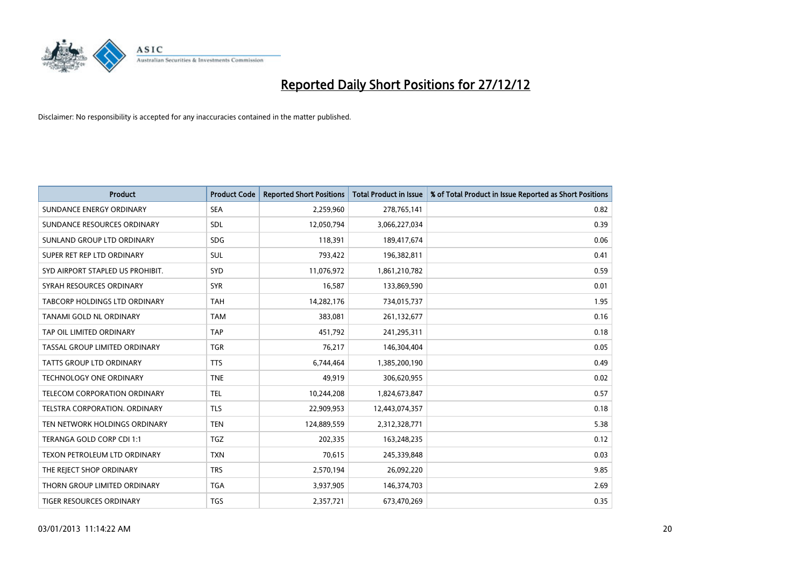

| <b>Product</b>                       | <b>Product Code</b> | <b>Reported Short Positions</b> | <b>Total Product in Issue</b> | % of Total Product in Issue Reported as Short Positions |
|--------------------------------------|---------------------|---------------------------------|-------------------------------|---------------------------------------------------------|
| SUNDANCE ENERGY ORDINARY             | <b>SEA</b>          | 2,259,960                       | 278,765,141                   | 0.82                                                    |
| SUNDANCE RESOURCES ORDINARY          | <b>SDL</b>          | 12,050,794                      | 3,066,227,034                 | 0.39                                                    |
| SUNLAND GROUP LTD ORDINARY           | <b>SDG</b>          | 118,391                         | 189,417,674                   | 0.06                                                    |
| SUPER RET REP LTD ORDINARY           | <b>SUL</b>          | 793,422                         | 196,382,811                   | 0.41                                                    |
| SYD AIRPORT STAPLED US PROHIBIT.     | <b>SYD</b>          | 11,076,972                      | 1,861,210,782                 | 0.59                                                    |
| SYRAH RESOURCES ORDINARY             | <b>SYR</b>          | 16,587                          | 133,869,590                   | 0.01                                                    |
| TABCORP HOLDINGS LTD ORDINARY        | <b>TAH</b>          | 14,282,176                      | 734,015,737                   | 1.95                                                    |
| TANAMI GOLD NL ORDINARY              | <b>TAM</b>          | 383,081                         | 261,132,677                   | 0.16                                                    |
| TAP OIL LIMITED ORDINARY             | <b>TAP</b>          | 451,792                         | 241,295,311                   | 0.18                                                    |
| TASSAL GROUP LIMITED ORDINARY        | <b>TGR</b>          | 76,217                          | 146,304,404                   | 0.05                                                    |
| <b>TATTS GROUP LTD ORDINARY</b>      | <b>TTS</b>          | 6,744,464                       | 1,385,200,190                 | 0.49                                                    |
| TECHNOLOGY ONE ORDINARY              | <b>TNE</b>          | 49,919                          | 306,620,955                   | 0.02                                                    |
| <b>TELECOM CORPORATION ORDINARY</b>  | <b>TEL</b>          | 10,244,208                      | 1,824,673,847                 | 0.57                                                    |
| <b>TELSTRA CORPORATION, ORDINARY</b> | <b>TLS</b>          | 22,909,953                      | 12,443,074,357                | 0.18                                                    |
| TEN NETWORK HOLDINGS ORDINARY        | <b>TEN</b>          | 124,889,559                     | 2,312,328,771                 | 5.38                                                    |
| TERANGA GOLD CORP CDI 1:1            | <b>TGZ</b>          | 202.335                         | 163,248,235                   | 0.12                                                    |
| TEXON PETROLEUM LTD ORDINARY         | <b>TXN</b>          | 70,615                          | 245,339,848                   | 0.03                                                    |
| THE REJECT SHOP ORDINARY             | <b>TRS</b>          | 2,570,194                       | 26,092,220                    | 9.85                                                    |
| THORN GROUP LIMITED ORDINARY         | <b>TGA</b>          | 3,937,905                       | 146,374,703                   | 2.69                                                    |
| TIGER RESOURCES ORDINARY             | <b>TGS</b>          | 2,357,721                       | 673,470,269                   | 0.35                                                    |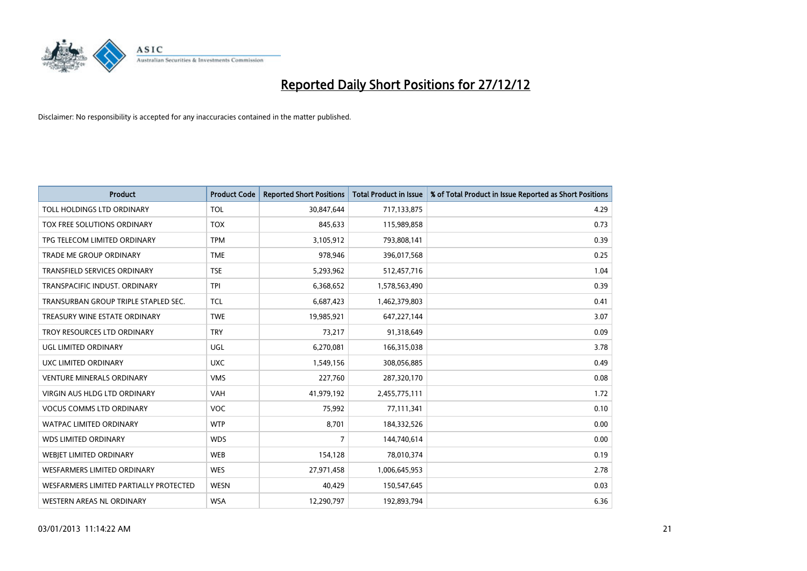

| <b>Product</b>                         | <b>Product Code</b> | <b>Reported Short Positions</b> | <b>Total Product in Issue</b> | % of Total Product in Issue Reported as Short Positions |
|----------------------------------------|---------------------|---------------------------------|-------------------------------|---------------------------------------------------------|
| TOLL HOLDINGS LTD ORDINARY             | <b>TOL</b>          | 30,847,644                      | 717,133,875                   | 4.29                                                    |
| TOX FREE SOLUTIONS ORDINARY            | <b>TOX</b>          | 845,633                         | 115,989,858                   | 0.73                                                    |
| TPG TELECOM LIMITED ORDINARY           | <b>TPM</b>          | 3,105,912                       | 793,808,141                   | 0.39                                                    |
| TRADE ME GROUP ORDINARY                | <b>TME</b>          | 978,946                         | 396,017,568                   | 0.25                                                    |
| <b>TRANSFIELD SERVICES ORDINARY</b>    | <b>TSE</b>          | 5,293,962                       | 512,457,716                   | 1.04                                                    |
| TRANSPACIFIC INDUST, ORDINARY          | <b>TPI</b>          | 6,368,652                       | 1,578,563,490                 | 0.39                                                    |
| TRANSURBAN GROUP TRIPLE STAPLED SEC.   | <b>TCL</b>          | 6,687,423                       | 1,462,379,803                 | 0.41                                                    |
| TREASURY WINE ESTATE ORDINARY          | <b>TWE</b>          | 19,985,921                      | 647,227,144                   | 3.07                                                    |
| TROY RESOURCES LTD ORDINARY            | <b>TRY</b>          | 73,217                          | 91,318,649                    | 0.09                                                    |
| <b>UGL LIMITED ORDINARY</b>            | UGL                 | 6,270,081                       | 166,315,038                   | 3.78                                                    |
| UXC LIMITED ORDINARY                   | <b>UXC</b>          | 1,549,156                       | 308,056,885                   | 0.49                                                    |
| <b>VENTURE MINERALS ORDINARY</b>       | <b>VMS</b>          | 227,760                         | 287,320,170                   | 0.08                                                    |
| VIRGIN AUS HLDG LTD ORDINARY           | VAH                 | 41,979,192                      | 2,455,775,111                 | 1.72                                                    |
| <b>VOCUS COMMS LTD ORDINARY</b>        | <b>VOC</b>          | 75,992                          | 77,111,341                    | 0.10                                                    |
| <b>WATPAC LIMITED ORDINARY</b>         | <b>WTP</b>          | 8,701                           | 184,332,526                   | 0.00                                                    |
| <b>WDS LIMITED ORDINARY</b>            | <b>WDS</b>          | 7                               | 144,740,614                   | 0.00                                                    |
| WEBIET LIMITED ORDINARY                | <b>WEB</b>          | 154,128                         | 78,010,374                    | 0.19                                                    |
| <b>WESFARMERS LIMITED ORDINARY</b>     | <b>WES</b>          | 27,971,458                      | 1,006,645,953                 | 2.78                                                    |
| WESFARMERS LIMITED PARTIALLY PROTECTED | <b>WESN</b>         | 40,429                          | 150,547,645                   | 0.03                                                    |
| WESTERN AREAS NL ORDINARY              | <b>WSA</b>          | 12,290,797                      | 192,893,794                   | 6.36                                                    |